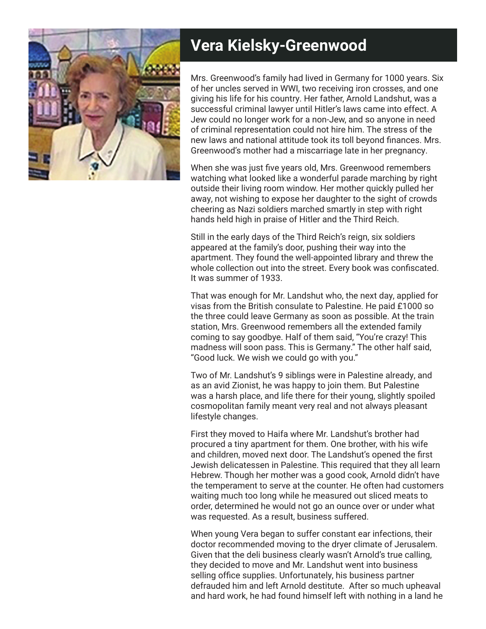

## **Vera Kielsky-Greenwood**

Mrs. Greenwood's family had lived in Germany for 1000 years. Six of her uncles served in WWI, two receiving iron crosses, and one giving his life for his country. Her father, Arnold Landshut, was a successful criminal lawyer until Hitler's laws came into effect. A Jew could no longer work for a non-Jew, and so anyone in need of criminal representation could not hire him. The stress of the new laws and national attitude took its toll beyond finances. Mrs. Greenwood's mother had a miscarriage late in her pregnancy.

When she was just five years old, Mrs. Greenwood remembers watching what looked like a wonderful parade marching by right outside their living room window. Her mother quickly pulled her away, not wishing to expose her daughter to the sight of crowds cheering as Nazi soldiers marched smartly in step with right hands held high in praise of Hitler and the Third Reich.

Still in the early days of the Third Reich's reign, six soldiers appeared at the family's door, pushing their way into the apartment. They found the well-appointed library and threw the whole collection out into the street. Every book was confiscated. It was summer of 1933.

That was enough for Mr. Landshut who, the next day, applied for visas from the British consulate to Palestine. He paid £1000 so the three could leave Germany as soon as possible. At the train station, Mrs. Greenwood remembers all the extended family coming to say goodbye. Half of them said, "You're crazy! This madness will soon pass. This is Germany." The other half said, "Good luck. We wish we could go with you."

Two of Mr. Landshut's 9 siblings were in Palestine already, and as an avid Zionist, he was happy to join them. But Palestine was a harsh place, and life there for their young, slightly spoiled cosmopolitan family meant very real and not always pleasant lifestyle changes.

First they moved to Haifa where Mr. Landshut's brother had procured a tiny apartment for them. One brother, with his wife and children, moved next door. The Landshut's opened the first Jewish delicatessen in Palestine. This required that they all learn Hebrew. Though her mother was a good cook, Arnold didn't have the temperament to serve at the counter. He often had customers waiting much too long while he measured out sliced meats to order, determined he would not go an ounce over or under what was requested. As a result, business suffered.

When young Vera began to suffer constant ear infections, their doctor recommended moving to the dryer climate of Jerusalem. Given that the deli business clearly wasn't Arnold's true calling, they decided to move and Mr. Landshut went into business selling office supplies. Unfortunately, his business partner defrauded him and left Arnold destitute. After so much upheaval and hard work, he had found himself left with nothing in a land he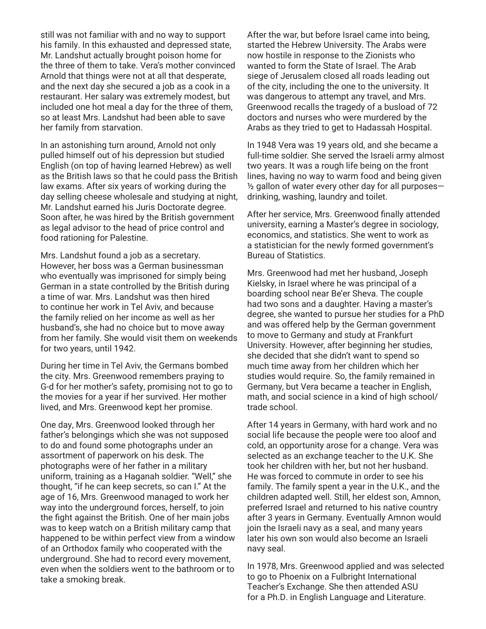still was not familiar with and no way to support his family. In this exhausted and depressed state, Mr. Landshut actually brought poison home for the three of them to take. Vera's mother convinced Arnold that things were not at all that desperate, and the next day she secured a job as a cook in a restaurant. Her salary was extremely modest, but included one hot meal a day for the three of them, so at least Mrs. Landshut had been able to save her family from starvation.

In an astonishing turn around, Arnold not only pulled himself out of his depression but studied English (on top of having learned Hebrew) as well as the British laws so that he could pass the British law exams. After six years of working during the day selling cheese wholesale and studying at night, Mr. Landshut earned his Juris Doctorate degree. Soon after, he was hired by the British government as legal advisor to the head of price control and food rationing for Palestine.

Mrs. Landshut found a job as a secretary. However, her boss was a German businessman who eventually was imprisoned for simply being German in a state controlled by the British during a time of war. Mrs. Landshut was then hired to continue her work in Tel Aviv, and because the family relied on her income as well as her husband's, she had no choice but to move away from her family. She would visit them on weekends for two years, until 1942.

During her time in Tel Aviv, the Germans bombed the city. Mrs. Greenwood remembers praying to G-d for her mother's safety, promising not to go to the movies for a year if her survived. Her mother lived, and Mrs. Greenwood kept her promise.

One day, Mrs. Greenwood looked through her father's belongings which she was not supposed to do and found some photographs under an assortment of paperwork on his desk. The photographs were of her father in a military uniform, training as a Haganah soldier. "Well," she thought, "if he can keep secrets, so can I." At the age of 16, Mrs. Greenwood managed to work her way into the underground forces, herself, to join the fight against the British. One of her main jobs was to keep watch on a British military camp that happened to be within perfect view from a window of an Orthodox family who cooperated with the underground. She had to record every movement, even when the soldiers went to the bathroom or to take a smoking break.

After the war, but before Israel came into being, started the Hebrew University. The Arabs were now hostile in response to the Zionists who wanted to form the State of Israel. The Arab siege of Jerusalem closed all roads leading out of the city, including the one to the university. It was dangerous to attempt any travel, and Mrs. Greenwood recalls the tragedy of a busload of 72 doctors and nurses who were murdered by the Arabs as they tried to get to Hadassah Hospital.

In 1948 Vera was 19 years old, and she became a full-time soldier. She served the Israeli army almost two years. It was a rough life being on the front lines, having no way to warm food and being given ½ gallon of water every other day for all purposes drinking, washing, laundry and toilet.

After her service, Mrs. Greenwood finally attended university, earning a Master's degree in sociology, economics, and statistics. She went to work as a statistician for the newly formed government's Bureau of Statistics.

Mrs. Greenwood had met her husband, Joseph Kielsky, in Israel where he was principal of a boarding school near Be'er Sheva. The couple had two sons and a daughter. Having a master's degree, she wanted to pursue her studies for a PhD and was offered help by the German government to move to Germany and study at Frankfurt University. However, after beginning her studies, she decided that she didn't want to spend so much time away from her children which her studies would require. So, the family remained in Germany, but Vera became a teacher in English, math, and social science in a kind of high school/ trade school.

After 14 years in Germany, with hard work and no social life because the people were too aloof and cold, an opportunity arose for a change. Vera was selected as an exchange teacher to the U.K. She took her children with her, but not her husband. He was forced to commute in order to see his family. The family spent a year in the U.K., and the children adapted well. Still, her eldest son, Amnon, preferred Israel and returned to his native country after 3 years in Germany. Eventually Amnon would join the Israeli navy as a seal, and many years later his own son would also become an Israeli navy seal.

In 1978, Mrs. Greenwood applied and was selected to go to Phoenix on a Fulbright International Teacher's Exchange. She then attended ASU for a Ph.D. in English Language and Literature.